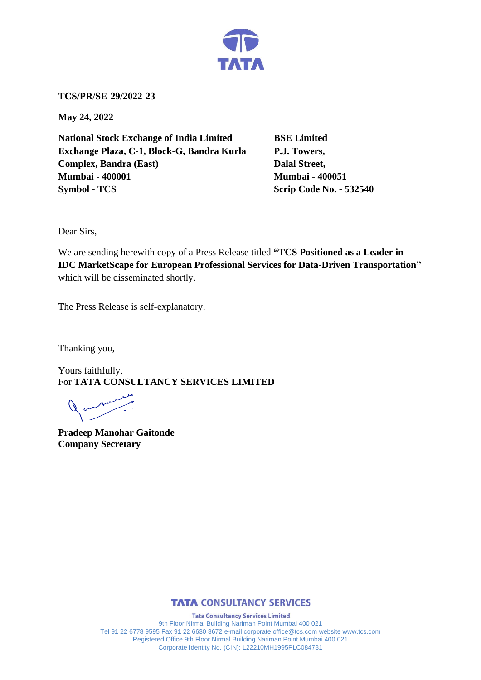

**TCS/PR/SE-29/2022-23**

**May 24, 2022**

**National Stock Exchange of India Limited BSE Limited Exchange Plaza, C-1, Block-G, Bandra Kurla P.J. Towers, Complex, Bandra (East)** Dalal Street, **Mumbai - 400001 Mumbai - 400051 Symbol - TCS Scrip Code No. - 532540** 

Dear Sirs,

We are sending herewith copy of a Press Release titled **"TCS Positioned as a Leader in IDC MarketScape for European Professional Services for Data-Driven Transportation"**  which will be disseminated shortly.

The Press Release is self-explanatory.

Thanking you,

Yours faithfully, For **TATA CONSULTANCY SERVICES LIMITED**

 $\begin{array}{c} \nearrow \end{array}$ 

**Pradeep Manohar Gaitonde Company Secretary**



**Tata Consultancy Services Limited** 9th Floor Nirmal Building Nariman Point Mumbai 400 021 Tel 91 22 6778 9595 Fax 91 22 6630 3672 e-mail corporate.office@tcs.com website www.tcs.com Registered Office 9th Floor Nirmal Building Nariman Point Mumbai 400 021 Corporate Identity No. (CIN): L22210MH1995PLC084781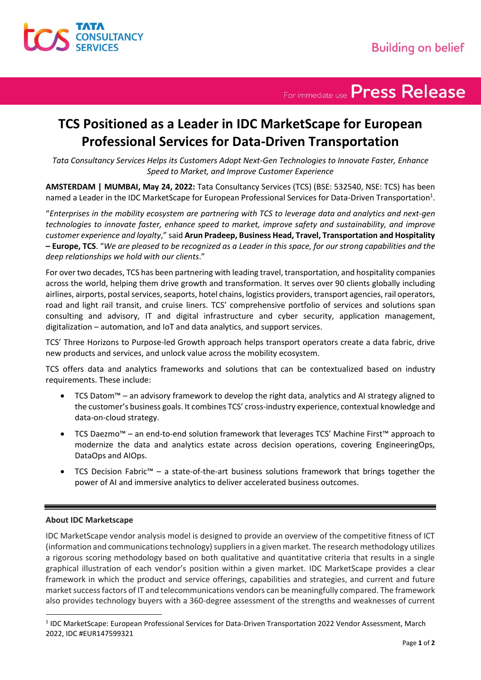

For immediate use Press Release

# **TCS Positioned as a Leader in IDC MarketScape for European Professional Services for Data-Driven Transportation**

*Tata Consultancy Services Helps its Customers Adopt Next-Gen Technologies to Innovate Faster, Enhance Speed to Market, and Improve Customer Experience* 

**AMSTERDAM | MUMBAI, May 24, 2022:** Tata Consultancy Services (TCS) (BSE: 532540, NSE: TCS) has been named a Leader in the IDC MarketScape for European Professional Services for Data-Driven Transportation $^1$ .

"*Enterprises in the mobility ecosystem are partnering with TCS to leverage data and analytics and next-gen technologies to innovate faster, enhance speed to market, improve safety and sustainability, and improve customer experience and loyalty*," said **Arun Pradeep, Business Head, Travel, Transportation and Hospitality – Europe, TCS**. "*We are pleased to be recognized as a Leader in this space, for our strong capabilities and the deep relationships we hold with our clients*."

For over two decades, TCS has been partnering with leading travel, transportation, and hospitality companies across the world, helping them drive growth and transformation. It serves over 90 clients globally including airlines, airports, postal services, seaports, hotel chains, logistics providers, transport agencies, rail operators, road and light rail transit, and cruise liners. TCS' comprehensive portfolio of services and solutions span consulting and advisory, IT and digital infrastructure and cyber security, application management, digitalization – automation, and IoT and data analytics, and support services.

TCS' Three Horizons to Purpose-led Growth approach helps transport operators create a data fabric, drive new products and services, and unlock value across the mobility ecosystem.

TCS offers data and analytics frameworks and solutions that can be contextualized based on industry requirements. These include:

- TCS Datom™ an advisory framework to develop the right data, analytics and AI strategy aligned to the customer's business goals. It combines TCS' cross-industry experience, contextual knowledge and data-on-cloud strategy.
- TCS Daezmo™ an end-to-end solution framework that leverages TCS' Machine First™ approach to modernize the data and analytics estate across decision operations, covering EngineeringOps, DataOps and AIOps.
- TCS Decision Fabric™ a state-of-the-art business solutions framework that brings together the power of AI and immersive analytics to deliver accelerated business outcomes.

## **About IDC Marketscape**

IDC MarketScape vendor analysis model is designed to provide an overview of the competitive fitness of ICT (information and communications technology) suppliers in a given market. The research methodology utilizes a rigorous scoring methodology based on both qualitative and quantitative criteria that results in a single graphical illustration of each vendor's position within a given market. IDC MarketScape provides a clear framework in which the product and service offerings, capabilities and strategies, and current and future market success factors of IT and telecommunications vendors can be meaningfully compared. The framework also provides technology buyers with a 360-degree assessment of the strengths and weaknesses of current

<sup>&</sup>lt;sup>1</sup> IDC MarketScape: European Professional Services for Data-Driven Transportation 2022 Vendor Assessment, March 2022, IDC #EUR147599321